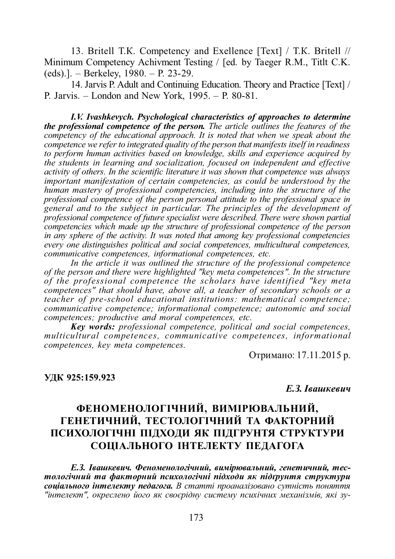13. Britell T.K. Competency and Exellence [Text] / T.K. Britell // Minimum Competency Achivment Testing / [ed. by Taeger R.M., Titlt C.K. (eds).]. – Berkeley, 1980. – P. 23-29.

14. Jarvis P. Adult and Continuing Education. Theory and Practice [Text] / P. Jarvis. – London and New York, 1995. – P. 80-81.

*I.V. Ivashkevych. Psychological characteristics of approaches to determine the professional competence of the person. The article outlines the features of the competency of the educational approach. It is noted that when we speak about the competence we refer to integrated quality of the person that manifests itself in readiness to perform human activities based on knowledge, skills and experience acquired by the students in learning and socialization, focused on independent and effective activity of others. In the scientific literature it was shown that competence was always important manifestation of certain competencies, as could be understood by the human mastery of professional competencies, including into the structure of the professional competence of the person personal attitude to the professional space in general and to the subject in particular. The principles of the development of professional competence of future specialist were described. There were shown partial competencies which made up the structure of professional competence of the person in any sphere of the activity. It was noted that among key professional competencies every one distinguishes political and social competences, multicultural competences, communicative competences, informational competences, etc.*

*In the article it was outlined the structure of the professional competence of the person and there were highlighted "key meta competences". In the structure of the professional competence the scholars have identified "key meta competences" that should have, above all, a teacher of secondary schools or a teacher of pre-school educational institutions: mathematical competence; communicative competence; informational competence; autonomic and social competences; productive and moral competences, etc.*

*Key words: professional competence, political and social competences, multicultural competences, communicative competences, informational competences, key meta competences.*

Отримано: 17.11.2015 р.

### **ɍȾɄ 925:159.923**

#### $E.$ 3. *<i>I* вашкевич

# **ɎȿɇɈɆȿɇɈɅɈȽȱɑɇɂɃ, ȼɂɆȱɊɘȼȺɅɖɇɂɃ,** ГЕНЕТИЧНИЙ, ТЕСТОЛОГІЧНИЙ ТА ФАКТОРНИЙ ПСИХОЛОГІЧНІ ПІДХОДИ ЯК ПІДГРУНТЯ СТРУКТУРИ СОЦІАЛЬНОГО ІНТЕЛЕКТУ ПЕДАГОГА

 $E.$ 3. Івашкевич. Феноменологічний, вимірювальний, генетичний, тес $m$ ологічний та факторний психологічні підходи як підґрунтя структури соціального інтелекту педагога. В статті проаналізовано сутність поняття "інтелект", окреслено його як своєрідну систему психічних механізмів, які зу-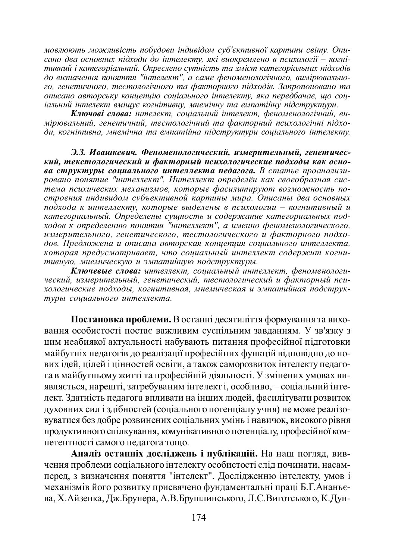мовлюють можливість побудови індивідом суб'єктивної картини світу. Опи $c$ ано два основних підходи до інтелекту, які виокремлено в психології – когні*тивний і категоріальний. Окреслено сутність та зміст категоріальних підходів* до визначення поняття "ителект", а саме феноменологічного, вимірювально*го, генетичного, тестологічного та факторного підходів. Запропоновано та*  $i$ *λιναλιο αεπιορτικν κοιναεπιστο coviantanozo inmenekmy, яка передбачає, що сои* $i$ альний інтелект вміщує когнітивну, мнемічну та емпатійну підструктури.

Ключові слова: інтелект, соціальний інтелект, феноменологічний, вимірювальний, генетичний, тестологічний та факторний психологічні підходи, когнітивна, мнемічна та емпатійна підструктури соціального інтелекту.

Э.3. Ивашкевич. Феноменологический, измерительный, генетический, текстологический и факторный психологические подходы как осно*ɜɚ ɫɬɪɭɤɬɭɪɵ ɫɨɰɢɚɥɶɧɨɝɨ ɢɧɬɟɥɥɟɤɬɚ ɩɟɞɚɝɨɝɚ. ȼ ɫɬɚɬɶɟ ɩɪɨɚɧɚɥɢɡɢ***изатемутно совершенно и постоянить и телевитетет и станке и решлини.**<br>ровано понятие "интеллект". Интеллект определён как своеобразная сис-.<br>тема психических механизмов, которые фасилитируют возможность построения индивидом субъективной картины мира. Описаны два основных лодхода к интеллекту, которые выделены в психологии – когнитивный и категориальный. Определены сущность и содержание категориальных под*ɯɨɞɨɜɤ ɨɩɪɟɞɟɥɟɧɢɸ ɩɨɧɹɬɢɹ "ɢɧɬɟɥɥɟɤɬ", ɚ ɢɦɟɧɧɨ ɮɟɧɨɦɟɧɨɥɨɝɢɱɟɫɤɨɝɨ,* измерительного, генетического, тестологического и факторного подходов. Предложена и описана авторская концепция социального интеллекта, которая предусматривает, что социальный интеллект содержит когнитивную, мнемическую и эмпатийную подструктуры.

**Ключевые слова:** интеллект, социальный интеллект, феноменологический, измерительный, генетический, тестологический и факторный пси*хологические подходы, когнитивная, мнемическая и эмпатийная подструк*туры социального интеллекта.

Постановка проблеми. В останні десятиліття формування та виховання особистості постає важливим суспільним завданням. У зв'язку з цим неабиякої актуальності набувають питання професійної підготовки майбутніх педагогів до реалізації професійних функцій відповідно до нових ідей, цілей і цінностей освіти, а також саморозвиток інтелекту педагога в майбутньому житті та професійній діяльності. У змінених умовах виявляється, нарешті, затребуваним інтелект і, особливо, – соціальний інтелект. Здатність педагога впливати на інших людей, фасилітувати розвиток духовних сил і здібностей (соціального потенціалу учня) не може реалізоɜɭɜɚɬɢɫɹɛɟɡɞɨɛɪɟɪɨɡɜɢɧɟɧɢɯɫɨɰɿɚɥɶɧɢɯɭɦɿɧɶɿɧɚɜɢɱɨɤ, ɜɢɫɨɤɨɝɨɪɿɜɧɹ продуктивного спілкування, комунікативного потенціалу, професійної компетентності самого пелагога тошо.

Аналіз останніх досліджень і публікацій. На наш погляд, вивчення проблеми соціального інтелекту особистості слід починати, насамперед, з визначення поняття "інтелект". Дослідженню інтелекту, умов і механізмів його розвитку присвячено фундаментальні праці Б.Г.Ананьєва, Х.Айзенка, Дж.Брунера, А.В.Брушлинського, Л.С.Виготського, К.Дун-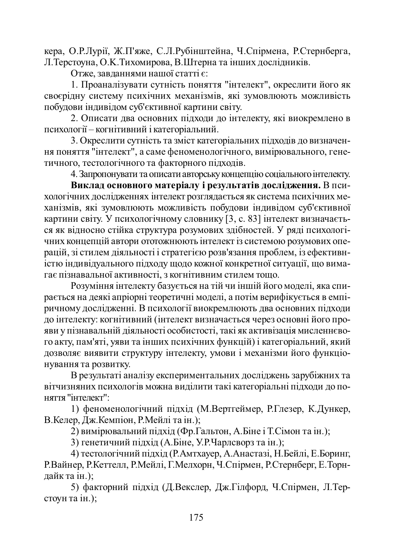кера, О.Р.Лурії, Ж.П'яже, С.Л.Рубінштейна, Ч.Спірмена, Р.Стернберга, Л. Терстоуна, О.К. Тихомирова, В.Штерна та інших дослідників.

Отже, завланнями нашої статті є:

1. Проаналізувати сутність поняття "інтелект", окреслити його як своєрідну систему психічних механізмів, які зумовлюють можливість побудови індивідом суб'єктивної картини світу.

2. Описати два основних підходи до інтелекту, які виокремлено в психології – когнітивний і категоріальний.

3. Окреслити сутність та зміст категоріальних підходів до визначення поняття "інтелект", а саме феноменологічного, вимірювального, генетичного, тестологічного та факторного пілхолів.

4. Запропонувати та описати авторську концепцію соціального інтелекту.

Виклад основного матеріалу і результатів дослідження. В психологічних лослідженнях інтелект розглядається як система психічних механізмів, які зумовлюють можливість побудови індивідом суб'єктивної картини світу. У психологічному словнику [3, с. 83] інтелект визначаєтьcя як відносно стійка структура розумових здібностей. У ряді психологічних концепцій автори ототожнюють інтелект із системою розумових операцій, зі стилем діяльності і стратегією розв'язання проблем, із ефективністю індивідуального підходу щодо кожної конкретної ситуації, що вимагає пізнавальної активності, з когнітивним стилем тощо.

Розуміння інтелекту базується на тій чи іншій його моделі, яка спирається на деякі апріорні теоретичні моделі, а потім верифікується в емпіричному дослідженні. В психології виокремлюють два основних підходи • по інтелекту: когнітивний (інтелект визначається через основні його прояви у пізнавальній діяльності особистості, такі як активізація мисленнєвого акту, пам'яті, уяви та інших психічних функцій) і категоріальний, який дозволяє виявити структуру інтелекту, умови і механізми його функціонування та розвитку.

В результаті аналізу експериментальних досліджень зарубіжних та вітчизняних психологів можна виділити такі категоріальні підходи до поняття "інтелект":

1) феноменологічний підхід (М.Вертгеймер, Р.Глезер, К.Дункер, В.Келер, Дж.Кемпіон, Р.Мейлі та ін.);

2) вимірювальний підхід (Фр.Гальтон, А.Біне і Т.Сімон та ін.);

3) генетичний підхід (А.Біне, У.Р.Чарлсворз та ін.);

4) тестологічний підхід (Р.Амтхауер, А.Анастазі, Н.Бейлі, Е.Боринг, Р.Вайнер, Р.Кеттелл, Р.Мейлі, Г.Мелхорн, Ч.Спірмен, Р.Стернберг, Е.Торндайк та ін.);

5) факторний підхід (Д.Векслер, Дж.Гілфорд, Ч.Спірмен, Л.Терстоун та ін.);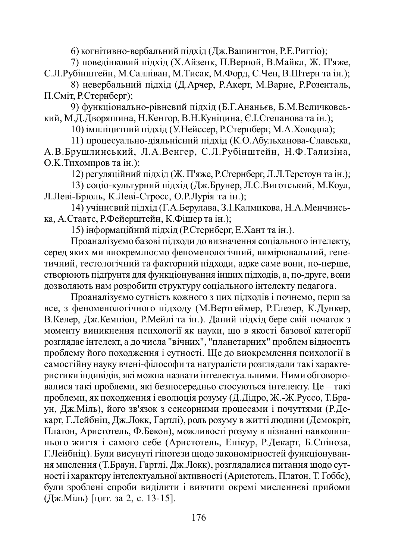6) когнітивно-вербальний підхід (Дж. Вашингтон, Р. Е. Риггіо);

7) поведінковий підхід (Х.Айзенк, П.Верной, В.Майкл, Ж. П'яже, С.Л.Рубінштейн, М.Салліван, М.Тисак, М.Форд, С.Чен, В.Штерн та ін.);

8) невербальний підхід (Д.Арчер, Р.Акерт, М.Варне, Р.Розенталь, П.Сміт. Р.Стернберг):

9) функціонально-рівневий підхід (Б.Г.Ананьєв, Б.М.Величковський, М.Д.Дворяшина, Н.Кентор, В.Н.Куніцина, Є.І.Степанова та ін.);

10) імпліцитний пілхіл (У.Нейссер, Р.Стернберг, М.А.Холодна);

11) процесуально-діяльнісний підхід (К.О.Абульханова-Славська, А.В.Брушлинський, Л.А.Венгер, С.Л.Рубінштейн, Н.Ф.Тализіна, О.К. Тихомиров та ін.):

12) регуляційний підхід (Ж. П'яже, Р.Стернберг, Л.Л.Терстоун та ін.);

13) соціо-культурний підхід (Дж.Брунер, Л.С.Виготський, М.Коул, Л.Леві-Брюль, К.Леві-Стросс, О.Р.Лурія та ін.);

14) учіннєвий підхід (Г.А.Берулава, З.І.Калмикова, Н.А.Менчинська, А.Стаатс, Р.Фейерштейн, К.Фішер та ін.);

15) інформаційний підхід (Р.Стернберг, Е.Хант та ін.).

Проаналізуємо базові підходи до визначення соціального інтелекту, серед яких ми виокремлюємо феноменологічний, вимірювальний, генетичний, тестологічний та факторний підходи, адже саме вони, по-перше, створюють підгрунтя для функціонування інших підходів, а, по-друге, вони дозволяють нам розробити структуру соціального інтелекту педагога.

Проаналізуємо сутність кожного з цих підходів і почнемо, перш за все, з феноменологічного підходу (М.Вертгеймер, Р.Глезер, К.Дункер, В. Келер, Дж. Кемпіон, Р. Мейлі та ін.). Даний підхід бере свій початок з моменту виникнення психології як науки, що в якості базової категорії розглядає інтелект, а до числа "вічних", "планетарних" проблем відносить проблему його походження і сутності. Ще до виокремлення психології в самостійну науку вчені-філософи та натуралісти розглядали такі характеристики індивідів, які можна назвати інтелектуальними. Ними обговорю-•<br>валися такі проблеми, які безпосередньо стосуються інтелекту. Це – такі проблеми, як походження і еволюція розуму (Д.Дідро, Ж.-Ж.Руссо, Т.Браун, Дж.Міль), його зв'язок з сенсорними процесами і почуттями (Р.Декарт, Г.Лейбніц, Дж.Локк, Гартлі), роль розуму в житті людини (Демокріт, Платон, Аристотель, Ф.Бекон), можливості розуму в пізнанні навколишнього життя і самого себе (Аристотель, Епікур, Р.Декарт, Б.Спіноза, Г.Лейбніц). Були висунуті гіпотези щодо закономірностей функціонування мислення (Т.Браун, Гартлі, Дж.Локк), розглядалися питання щодо сутності і характеру інтелектуальної активності (Аристотель, Платон, Т. Гоббс), були зроблені спроби виділити і вивчити окремі мисленнєві прийоми (Дж.Міль) [цит. за 2, с. 13-15].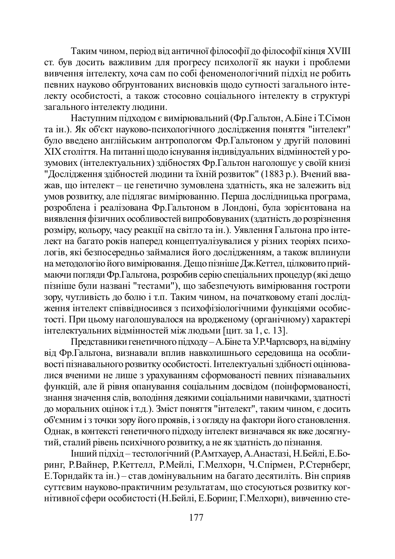Таким чином, період від античної філософії до філософії кінця XVIII ст. був досить важливим для прогресу психології як науки і проблеми вивчення інтелекту, хоча сам по собі феноменологічний підхід не робить певних науково обгрунтованих висновків щодо сутності загального інтелекту особистості, а також стосовно соціального інтелекту в структурі загального інтелекту людини.

Наступним підходом є вимірювальний (Фр.Гальтон, А.Біне і Т.Сімон та ін.). Як об'єкт науково-психологічного дослідження поняття "інтелект" було введено англійським антропологом Фр. Гальтоном у другій половині XIX століття. На питанні щодо існування індивідуальних відмінностей у розумових (інтелектуальних) здібностях Фр. Гальтон наголошує у своїй книзі "и у послідження здібностей людини та їхній розвиток" (1883 р.). Вчений вважав, що інтелект – це генетично зумовлена здатність, яка не залежить від умов розвитку, але підлягає вимірюванню. Перша дослідницька програма, • позроблена і реалізована Фр.Гальтоном в Лондоні, була зорієнтована на •<br>виявлення фізичних особливостей випробовуваних (здатність до розрізнення розміру, кольору, часу реакції на світло та ін.). Уявлення Гальтона про інтенект на багато років наперед концептуалізувалися у різних теоріях психологів, які безпосередньо займалися його дослідженням, а також вплинули на методологію його вимірювання. Дещо пізніше Дж. Кеттел, цілковито приймаючи погляди Фр. Гальтона, розробив серію спеціальних процедур (які дещо пізніше були названі "тестами"), що забезпечують вимірювання гостроти зору, чутливість до болю і т.п. Таким чином, на початковому етапі дослідження інтелект співвідносився з психофізіологічними функціями особистості. При цьому наголошувалося на вродженому (органічному) характері інтелектуальних відмінностей між людьми [цит. за 1, с. 13].

Представники генетичного підходу – А.Біне та У.Р.Чарлсворз, на відміну від Фр. Гальтона, визнавали вплив навколишнього середовища на особливості пізнавального розвитку особистості. Інтелектуальні здібності оцінювалися вченими не лише з урахуванням сформованості певних пізнавальних функцій, але й рівня опанування соціальним досвідом (поінформованості, уълння значення слів, володіння деякими соціальними навичками, здатності до моральних оцінок і т.д.). Зміст поняття "інтелект", таким чином, є досить об'ємним і з точки зору його проявів, і з огляду на фактори його становлення. Однак, в контексті генетичного підходу інтелект визначався як вже досягнутий, сталий рівень психічного розвитку, а не як здатність до пізнання.

Інший підхід – тестологічний (Р.Амтхауер, А.Анастазі, Н.Бейлі, Е.Боринг, Р.Вайнер, Р.Кеттелл, Р.Мейлі, Г.Мелхорн, Ч.Спірмен, Р.Стернберг, Е. Торндайк та ін.) – став домінувальним на багато десятиліть. Він сприяв суттєвим науково-практичним результатам, що стосуються розвитку когнітивної сфери особистості (Н.Бейлі, Е.Боринг, Г.Мелхорн), вивченню сте-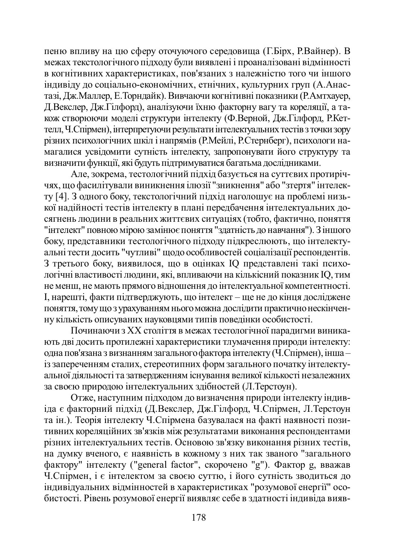пеню впливу на цю сферу оточуючого середовища (Г.Бірх, Р.Вайнер). В межах текстологічного підходу були виявлені і проаналізовані відмінності в когнітивних характеристиках, пов'язаних з належністю того чи іншого індивіду до соціально-економічних, етнічних, культурних груп (А.Анастазі, Дж. Маллер, Е. Торндайк). Вивчаючи когнітивні показники (Р. Амтхауер, Д. Векслер, Дж. Гілфорд), аналізуючи їхню факторну вагу та кореляції, а таужж створюючи моделі структури інтелекту (Ф.Верной, Дж.Гілфорд, Р.Кеттелл, Ч.Спірмен), інтерпретуючи результати інтелектуальних тестів з точки зору різних психологічних шкіл і напрямів (Р. Мейлі, Р. Стернберг), психологи на-•<br>магалися усвідомити сутність інтелекту, запропонувати його структуру та визначити функції, які будуть підтримуватися багатьма дослідниками.

Але, зокрема, тестологічний підхід базується на суттєвих протиріччях, що фасилітували виникнення ілюзії "зникнення" або "зтертя" інтелекту [4]. З одного боку, текстологічний підхід наголошує на проблемі низької надійності тестів інтелекту в плані передбачення інтелектуальних досягнень людини в реальних життєвих ситуаціях (тобто, фактично, поняття "інтелект" повною мірою замінює поняття "здатність до навчання"). З іншого боку, представники тестологічного підходу підкреслюють, що інтелектуальні тести досить "чутливі" щодо особливостей соціалізації респондентів. 3 третього боку, виявилося, що в оцінках IQ представлені такі психологічні властивості людини, які, впливаючи на кількісний показник IQ, тим не менш, не мають прямого відношення до інтелектуальної компетентності. I, нарешті, факти підтверджують, що інтелект – ще не до кінця досліджене ПОНЯТТЯ, ТОМУ ЩО 3 УРАЗУВАННЯМ НЬОГО МОЖНА ДОСЛІДИТИ ПРАКТИЧНО НЕСКІНЧЕНну кількість описуваних науковцями типів поведінки особистості.

Починаючи з XX століття в межах тестологічної парадигми виникають дві досить протилежні характеристики тлумачення природи інтелекту: одна пов'язана з визнанням загального фактора інтелекту (Ч.Спірмен), інша – із запереченням сталих, стереотипних форм загального початку інтелектуальної діяльності та затвердженням існування великої кількості незалежних за своєю природою інтелектуальних здібностей (Л.Терстоун).

Отже, наступним підходом до визначення природи інтелекту індивіда є факторний підхід (Д.Векслер, Дж.Гілфорд, Ч.Спірмен, Л.Терстоун та ін.). Теорія інтелекту Ч.Спірмена базувалася на факті наявності позитивних кореляційних зв'язків між результатами виконання респондентами різних інтелектуальних тестів. Основою зв'язку виконання різних тестів, • на думку вченого, є наявність в кожному з них так званого "загального фактору" інтелекту ("general factor", скорочено "g"). Фактор g, вважав Ч. Спірмен, і є інтелектом за своєю суттю, і його сутність зводиться до індивідуальних відмінностей в характеристиках "розумової енергії" особистості. Рівень розумової енергії виявляє себе в здатності індивіда вияв-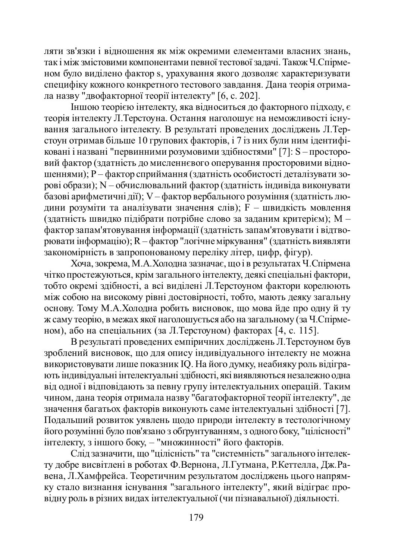ляти зв'язки і відношення як між окремими елементами власних знань, так і між змістовими компонентами певної тестової задачі. Також Ч.Спірменом було виділено фактор s, урахування якого дозволяє характеризувати специфіку кожного конкретного тестового завдання. Дана теорія отримала назву "двофакторної теорії інтелекту" [6, с. 202].

 $\dot{I}$ ншою теорією інтелекту, яка відноситься до факторного підходу, є теорія інтелекту Л. Терстоуна. Остання наголошує на неможливості існування загального інтелекту. В результаті провелених лослілжень Л.Терстоун отримав більше 10 групових факторів, і 7 із них були ним ідентифіковані і названі "первинними розумовими здібностями" [7]: S – просторовий фактор (здатність до мисленнєвого оперування просторовими відношеннями); Р – фактор сприймання (здатність особистості деталізувати зорові образи); N – обчислювальний фактор (здатність індивіда виконувати •<br>базові арифметичні лії); V – фактор вербального розуміння (златність людини розуміти та аналізувати значення слів); F – швидкість мовлення (здатність швидко підібрати потрібне слово за заданим критерієм); М – фактор запам'ятовування інформації (здатність запам'ятовувати і відтворювати інформацію); R – фактор "логічне міркування" (здатність виявляти •<br>закономірність в запропонованому переліку літер, цифр, фігур).

Xоча, зокрема, М.А.Холодна зазначає, що і в результатах Ч.Спірмена чітко простежуються, крім загального інтелекту, деякі спеціальні фактори, тобто окремі здібності, а всі виділені Л. Терстоуном фактори корелюють між собою на високому рівні достовірності, тобто, мають деяку загальну основу. Тому М.А.Холодна робить висновок, що мова йде про одну й ту ж саму теорію, в межах якої наголошується або на загальному (за Ч.Спірменом), або на спеціальних (за Л.Терстоуном) факторах [4, с. 115].

В результаті проведених емпіричних досліджень Л. Терстоуном був зроблений висновок, що для опису індивідуального інтелекту не можна • використовувати лише показник IQ. На його думку, неабияку роль відіграють індивідуальні інтелектуальні здібності, які виявляються незалежно одна від одної і відповідають за певну групу інтелектуальних операцій. Таким чином, дана теорія отримала назву "багатофакторної теорії інтелекту", де значення багатьох факторів виконують саме інтелектуальні здібності [7]. Подальший розвиток уявлень щодо природи інтелекту в тестологічному його розумінні було пов'язано з обґрунтуванням, з одного боку, "цілісності" інтелекту, з іншого боку, – "множинності" його факторів.

Слід зазначити, що "цілісність" та "системність" загального інтелекту добре висвітлені в роботах Ф.Вернона, Л.Гутмана, Р.Кеттелла, Дж.Равена, Л.Хамфрейса. Теоретичним результатом досліджень цього напрямку стало визнання існування "загального інтелекту", який відіграє про-• відну роль в різних видах інтелектуальної (чи пізнавальної) діяльності.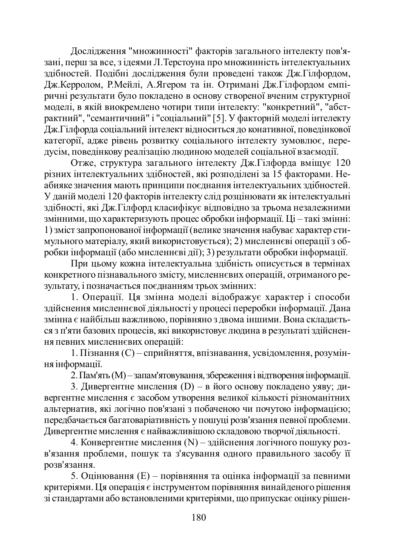Дослідження "множинності" факторів загального інтелекту пов'язані, перш за все, з ідеями Л. Терстоуна про множинність інтелектуальних здібностей. Подібні дослідження були проведені також Дж. Гілфордом, Дж. Керролом, Р. Мейлі, А. Ягером та ін. Отримані Дж. Гілфордом емпіричні результати було покладено в основу створеної вченим структурної моделі, в якій виокремлено чотири типи інтелекту: "конкретний", "абстрактний", "семантичний" і "соціальний" [5]. У факторній моделі інтелекту Иж.Гілфорда соціальний інтелект вілноситься до конативної, повелінкової <u>категорії</u>, адже рівень розвитку соціального інтелекту зумовлює, перелусім, повелінкову реалізацію люлиною молелей соціальної взаємолії.

Отже, структура загального інтелекту Дж.Гілфорда вміщує 120 різних інтелектуальних здібностей, які розподілені за 15 факторами. Не-•<br>абияке значення мають принципи поєднання інтелектуальних здібностей. У даній моделі 120 факторів інтелекту слід розцінювати як інтелектуальні здібності, які Дж. Гілфорд класифікує відповідно за трьома незалежними змінними, що характеризують процес обробки інформації. Ці – такі змінні: 1) зміст запропонованої інформації (велике значення набуває характер стимульного матеріалу, який використовується); 2) мисленнєві операції з обробки інформації (або мисленнєві дії); 3) результати обробки інформації.

При цьому кожна інтелектуальна здібність описується в термінах конкретного пізнавального змісту, мисленнєвих операцій, отриманого результату, і позначається поєднанням трьох змінних:

1. Операції. Ця змінна моделі відображує характер і способи здійснення мисленнєвої діяльності у процесі переробки інформації. Дана змінна є найбільш важливою, порівняно з двома іншими. Вона складається з п'яти базових процесів, які використовує людина в результаті здійснення певних мисленнєвих операцій:

1. Пізнання (С) – сприйняття, впізнавання, усвідомлення, розуміння інформації.

2. Пам'ять (M) – запам'ятовування, збереження і відтворення інформації.

3. Дивергентне мислення (D) – в його основу покладено уяву; дивергентне мислення є засобом утворення великої кількості різноманітних альтернатив, які логічно пов'язані з побаченою чи почутою інформацією; передбачається багатоваріативність у пошуці розв'язання певної проблеми. Дивергентне мислення є найважливішою складовою творчої діяльності.

4. Конвергентне мислення (N) – здійснення логічного пошуку розв'язання проблеми, пошук та з'ясування одного правильного засобу її розв'язання.

5. Оцінювання (Е) – порівняння та оцінка інформації за певними критеріями. Ця операція є інструментом порівняння винайденого рішення зі стандартами або встановленими критеріями, що припускає оцінку рішен-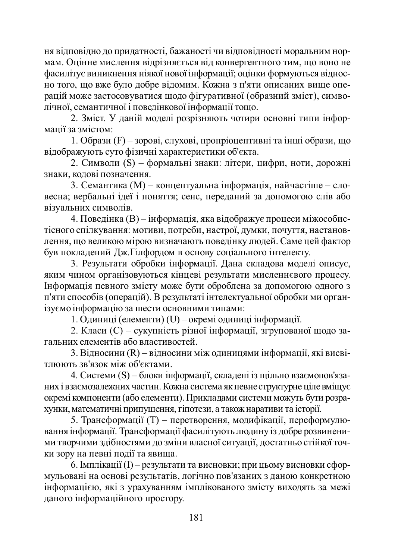ня відповідно до придатності, бажаності чи відповідності моральним нормам. Оцінне мислення відрізняється від конвергентного тим, що воно не фасилітує виникнення ніякої нової інформації; оцінки формуються відносно того, що вже було добре відомим. Кожна з п'яти описаних вище операцій може застосовуватися шоло фігуративної (образний зміст), симвоичної, семантичної і поведінкової інформації тощо.

2. Зміст. У даній моделі розрізняють чотири основні типи інфор-Mattii за змістом:

 $1. O6$ рази (F) – зорові, слухові, пропріоцептивні та інші образи, що відображують суто фізичні характеристики об'єкта.

2. Символи (S) – формальні знаки: літери, цифри, ноти, дорожні знаки, колові позначення.

3. Семантика (М) – концептуальна інформація, найчастіше – словесна; вербальні ідеї і поняття; сенс, переданий за допомогою слів або візуальних символів.

4. Поведінка (В) – інформація, яка відображує процеси міжособистісного спілкування: мотиви, потреби, настрої, думки, почуття, настановлення, що великою мірою визначають поведінку людей. Саме цей фактор був покладений Дж. Гілфордом в основу соціального інтелекту.

3. Результати обробки інформації. Дана складова моделі описує, яким чином організовуються кінцеві результати мисленнєвого процесу. Iнформація певного змісту може бути оброблена за допомогою одного з п'яти способів (операцій). В результаті інтелектуальної обробки ми організуємо інформацію за шести основними типами:

1. Одиниці (елементи) (U) – окремі одиниці інформації.

2. Класи (С) – сукупність різної інформації, згрупованої щодо загальних елементів або властивостей.

3. Відносини (R) – відносини між одиницями інформації, які висвітлюють зв'язок між об'єктами.

4. Системи (S) – блоки інформації, складені із щільно взаємопов'язаних і взаємозалежних частин. Кожна система як певне структурне ціле вміщує окремі компоненти (або елементи). Прикладами системи можуть бути розрахүнки, математичні припущення, гіпотези, а також наративи та історії.

5. Трансформації (Т) – перетворення, модифікації, переформулювання інформації. Трансформації фасилітують людину із добре розвиненими творчими здібностями до зміни власної ситуації, достатньо стійкої точки зору на певні події та явища.

6. Імплікації (I) – результати та висновки; при цьому висновки сформульовані на основі результатів, логічно пов'язаних з даною конкретною інформацією, які з урахуванням імплікованого змісту виходять за межі даного інформаційного простору.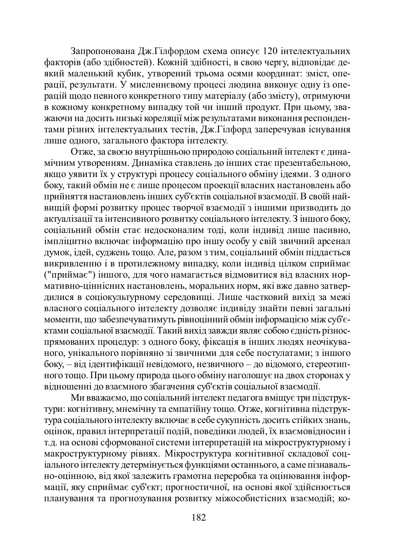Запропонована Дж.Гілфордом схема описує 120 інтелектуальних факторів (або здібностей). Кожній здібності, в свою чергу, відповідає де-1<br>изкий маленький кубик, утворений трьома осями координат: зміст, операції, результати. У мисленнєвому процесі людина виконує одну із операцій щодо певного конкретного типу матеріалу (або змісту), отримуючи • в кожному конкретному випадку той чи інший продукт. При цьому, зважаючи на досить низькі кореляції між результатами виконання респондентами різних інтелектуальних тестів. Дж.Гілфорд заперечував існування лише одного, загального фактора інтелекту.

Отже, за своєю внутрішньою природою соціальний інтелект є динамічним утворенням. Динаміка ставлень до інших стає презентабельною, якщо уявити їх у структурі процесу соціального обміну ідеями. З одного боку, такий обмін не є лише процесом проекції власних настановлень або прийняття настановлень інших суб'єктів соціальної взаємодії. В своїй найɜɢɳɿɣɮɨɪɦɿɪɨɡɜɢɬɤɭɩɪɨɰɟɫɬɜɨɪɱɨʀɜɡɚɽɦɨɞɿʀɡɿɧɲɢɦɢɩɪɢɡɜɨɞɢɬɶɞɨ актуалізації та інтенсивного розвитку соціального інтелекту. З іншого боку, соціальний обмін стає недосконалим тоді, коли індивід лише пасивно, імпліцитно включає інформацію про іншу особу у свій звичний арсенал думок, ідей, суджень тощо. Але, разом з тим, соціальний обмін піддається викривленню і в протилежному випадку, коли індивід цілком сприймає ("приймає") іншого, для чого намагається відмовитися від власних норуъть и тастановлень, моральних норм, які вже давно затвердилися в соціокультурному середовищі. Лише частковий вихід за межі власного соціального інтелекту дозволяє індивіду знайти певні загальні моменти, що забезпечуватимуть рівноцінний обмін інформацією між суб'єктами соціальної взаємодії. Такий вихід завжди являє собою єдність різноспрямованих процедур: з одного боку, фіксація в інших людях неочікуваного, унікального порівняно зі звичними для себе постулатами; з іншого боку, – від ідентифікації невідомого, незвичного – до відомого, стереотипного тощо. При цьому природа цього обміну наголошує на двох сторонах у відношенні до взаємного збагачення суб'єктів соціальної взаємодії.

Ми вважаємо, що соціальний інтелект педагога вміщує три підструктури: когнітивну, мнемічну та емпатійну тощо. Отже, когнітивна підструкуъл соціального інтелекту включає в себе сукупність досить стійких знань, и и стания и терпретації подій, поведінки людей, їх взаємовідносин і т.д. на основі сформованої системи інтерпретацій на мікроструктурному і макроструктурному рівнях. Мікроструктура когнітивної складової соцiального iнтелекту детермiнується функціями останнього, а саме пізнавально-оцінною, від якої залежить грамотна переробка та оцінювання інформації, яку сприймає суб'єкт; прогностичної, на основі якої здійснюється планування та прогнозування розвитку міжособистісних взаємодій; ко-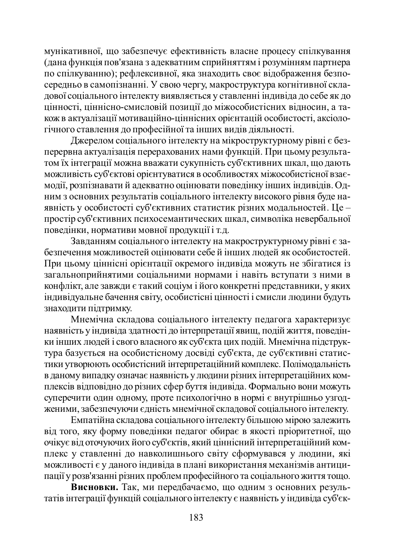мунікативної, що забезпечує ефективність власне процесу спілкування (дана функція пов'язана з адекватним сприйняттям і розумінням партнера по спілкуванню); рефлексивної, яка знаходить своє відображення безпосередньо в самопізнанні. У свою чергу, макроструктура когнітивної складової соціального інтелекту виявляється у ставленні індивіда до себе як до иінності, ціннісно-смисловій позиції до міжособистісних відносин, а також в актуалізації мотиваційно-ціннісних орієнтацій особистості, аксіологічного ставлення до професійної та інших видів діяльності.

Джерелом соціального інтелекту на мікроструктурному рівні є безперервна актуалізація перерахованих нами функцій. При цьому результатом їх інтеграції можна вважати сукупність суб'єктивних шкал, що дають можливість суб'єктові орієнтуватися в особливостях міжособистісної взаємодії, розпізнавати й адекватно оцінювати поведінку інших індивідів. Одним з основних результатів соціального інтелекту високого рівня буде наявність у особистості суб'єктивних статистик різних модальностей. Це – простір суб'єктивних психосемантических шкал, символіка невербальної товедінки, нормативи мовної продукції і т.д.

Завданням соціального інтелекту на макроструктурному рівні є забезпечення можливостей оцінювати себе й інших людей як особистостей. При цьому ціннісні орієнтації окремого індивіда можуть не збігатися із элальноприйнятими соціальними нормами і навіть вступати з ними в конфлікт, але завжди є такий соціум і його конкретні представники, у яких індивідуальне бачення світу, особистісні цінності і смисли людини будуть знаходити підтримку.

Мнемічна складова соціального інтелекту педагога характеризує наявність у індивіда здатності до інтерпретації явищ, подій життя, поведінки інших людей і свого власного як суб'єкта цих подій. Мнемічна підструктура базується на особистісному досвіді суб'єкта, де суб'єктивні статистики утворюють особистісний інтерпретаційний комплекс. Полімодальність в даному випадку означає наявність у людини різних інтерпретаційних комплексів відповідно до різних сфер буття індивіда. Формально вони можуть суперечити один одному, проте психологічно в нормі є внутрішньо узгод-Женими, забезпечуючи єдність мнемічної складової соціального інтелекту.

Емпатійна складова соціального інтелекту більшою мірою залежить від того, яку форму поведінки педагог обирає в якості пріоритетної, що очікує від оточуючих його суб'єктів, який ціннісний інтерпретаційний комплекс у ставленні до навколишнього світу сформувався у людини, які можливості є у даного індивіда в плані використання механізмів антиципації у розв'язанні різних проблем професійного та соціального життя тощо.

Висновки. Так, ми передбачаємо, що одним з основних результатів інтеграції функцій соціального інтелекту є наявність у індивіда суб'єк-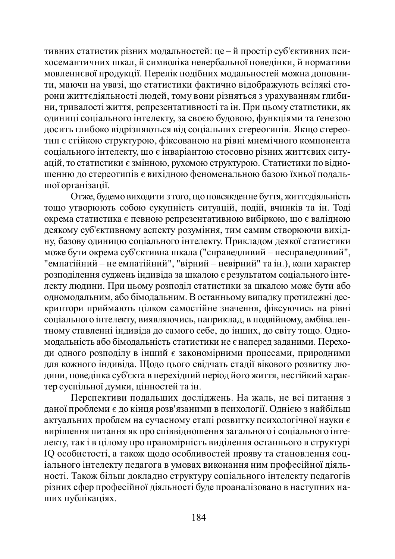тивних статистик різних модальностей: це – й простір суб'єктивних психосемантичних шкал, й символіка невербальної поведінки, й нормативи мовленнєвої продукції. Перелік подібних модальностей можна доповнити, маючи на увазі, що статистики фактично відображують всілякі сторони життєдіяльності людей, тому вони різняться з урахуванням глибини, тривалості життя, репрезентативності та ін. При цьому статистики, як одиниці соціального інтелекту, за своєю будовою, функціями та ґенезою лосить глибоко відрізняються від соціальних стереотипів. Якщо стереотип  $\epsilon$  стійкою структурою, фіксованою на рівні мнемічного компонента coціального інтелекту, що є інваріантою стосовно різних життєвих ситуацій, то статистики є змінною, рухомою структурою. Статистики по відношенню до стереотипів є вихідною феноменальною базою їхньої подальmoï організації.

Отже, будемо виходити з того, що повсякденне буття, життєдіяльність тощо утворюють собою сукупність ситуацій, подій, вчинків та ін. Тоді окрема статистика  $\epsilon$  певною репрезентативною вибіркою, що є валідною деякому суб'єктивному аспекту розуміння, тим самим створюючи вихідну, базову одиницю соціального інтелекту. Прикладом деякої статистики може бути окрема суб'єктивна шкала ("справедливий – несправедливий", "емпатійний – не емпатійний", "вірний – невірний" та ін.), коли характер розподілення суджень індивіда за шкалою є результатом соціального інтетекту людини. При цьому розподіл статистики за шкалою може бути або одномодальним, або бімодальним. В останньому випадку протилежні дескриптори приймають цілком самостійне значення, фіксуючись на рівні соціального інтелекту, виявляючись, наприклад, в подвійному, амбівалентному ставленні індивіда до самого себе, до інших, до світу тощо. Одномодальність або бімодальність статистики не є наперед заданими. Переходи одного розподілу в інший є закономірними процесами, природними для кожного індивіда. Щодо цього свідчать стадії вікового розвитку людини, поведінка суб'єкта в перехідний період його життя, нестійкий характер суспільної думки, цінностей та ін.

Перспективи подальших досліджень. На жаль, не всі питання з даної проблеми є до кінця розв'язаними в психології. Однією з найбільш актуальних проблем на сучасному етапі розвитку психологічної науки є вирішення питання як про співвідношення загального і соціального інтеискту, так і в цілому про правомірність виділення останнього в структурі IQ особистості, а також щодо особливостей прояву та становлення соціального інтелекту педагога в умовах виконання ним професійної діяльності. Також більш докладно структуру соціального інтелекту педагогів різних сфер професійної діяльності буде проаналізовано в наступних напих публікаціях.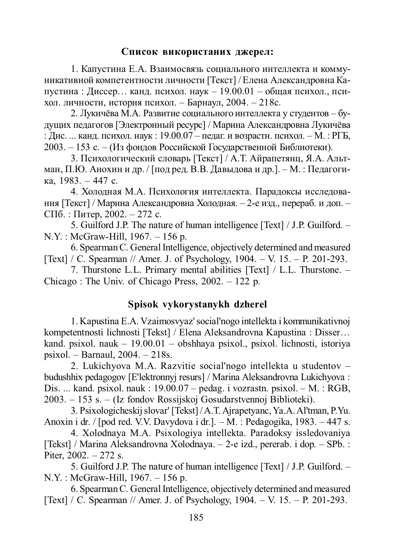### Список використаних джерел:

1. Капустина Е.А. Взаимосвязь социального интеллекта и коммуникативной компетентности личности [Текст] / Елена Александровна Капустина : Диссер... канд. психол. наук – 19.00.01 – общая психол., психол. личности, история психол. – Барнаул, 2004. – 218с.

2. Лукичёва М.А. Развитие социального интеллекта у студентов – будущих педагогов [Электронный ресурс] / Марина Александровна Лукичёва : Дис. ... канд. психол. наук : 19.00.07 – педаг. и возрастн. психол. – М. : РГБ. 2003. – 153 с. – (Из фондов Российской Государственной Библиотеки).

3. Психологический словарь [Текст] / А.Т. Айрапетянц, Я.А. Альтман, П.Ю. Анохин и др. / [под ред. В.В. Давыдова и др. ]. – М. : Педагоги- $\kappa$ a, 1983. – 447 c.

4. Холодная М.А. Психология интеллекта. Парадоксы исследования [Текст] / Марина Александровна Холодная. – 2-е изд., перераб. и доп. –  $\text{C}\Pi$ б. : Питер, 2002. – 272 с.

5. Guilford J.P. The nature of human intelligence [Text] / J.P. Guilford. – N.Y. : McGraw-Hill, 1967. – 156 p.

6. Spearman C. General Intelligence, objectively determined and measured [Text] / C. Spearman // Amer. J. of Psychology,  $1904. - V. 15. - P. 201-293.$ 

7. Thurstone L.L. Primary mental abilities [Text] / L.L. Thurstone. – Chicago : The Univ. of Chicago Press, 2002. – 122 p.

## **Spisok vykorystanykh dzherel**

1. Kapustina E.A. Vzaimosvyaz' social'nogo intellekta i kommunikativnoj kompetentnosti lichnosti [Tekst] / Elena Aleksandrovna Kapustina : Disser… kand. psixol. nauk – 19.00.01 – obshhaya psixol., psixol. lichnosti, istoriya psixol. – Barnaul, 2004. – 218s.

2. Lukichyova M.A. Razvitie social'nogo intellekta u studentov – budushhix pedagogov [E'lektronnyj resurs] / Marina Aleksandrovna Lukichyova : Dis. ... kand. psixol. nauk : 19.00.07 – pedag. i vozrastn. psixol. – M. : RGB, 2003. – 153 s. – (Iz fondov Rossijskoj Gosudarstvennoj Biblioteki).

3. Psixologicheskij slovar' [Tekst] / A.T. Ajrapetyanc, Ya.A. Al'tman, P.Yu. Anoxin i dr. / [pod red. V.V. Davydova i dr.].  $-M$ . : Pedagogika, 1983. – 447 s.

4. Xolodnaya M.A. Psixologiya intellekta. Paradoksy issledovaniya [Tekst] / Marina Aleksandrovna Xolodnaya. – 2-e izd., pererab. i dop. – SPb. : Piter,  $2002. - 272$  s.

5. Guilford J.P. The nature of human intelligence [Text] / J.P. Guilford. – N.Y. : McGraw-Hill, 1967. – 156 p.

6. Spearman C. General Intelligence, objectively determined and measured [Text] / C. Spearman // Amer. J. of Psychology, 1904. – V. 15. – P. 201-293.